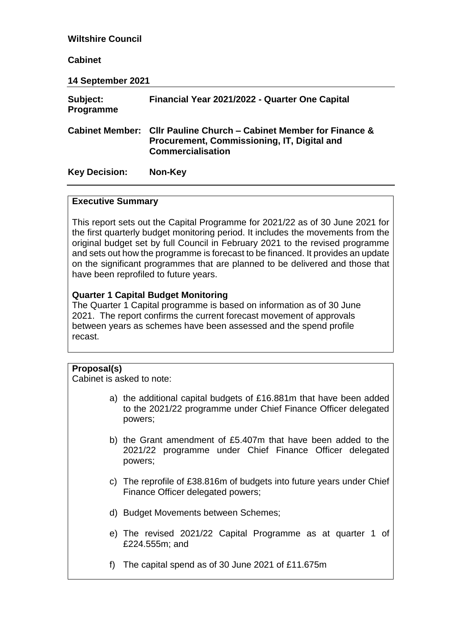| <b>Wiltshire Council</b>     |                                                                                                                                               |
|------------------------------|-----------------------------------------------------------------------------------------------------------------------------------------------|
| <b>Cabinet</b>               |                                                                                                                                               |
| 14 September 2021            |                                                                                                                                               |
| Subject:<br><b>Programme</b> | Financial Year 2021/2022 - Quarter One Capital                                                                                                |
|                              | Cabinet Member: Cllr Pauline Church – Cabinet Member for Finance &<br>Procurement, Commissioning, IT, Digital and<br><b>Commercialisation</b> |
| <b>Key Decision:</b>         | Non-Key                                                                                                                                       |

#### **Executive Summary**

This report sets out the Capital Programme for 2021/22 as of 30 June 2021 for the first quarterly budget monitoring period. It includes the movements from the original budget set by full Council in February 2021 to the revised programme and sets out how the programme is forecast to be financed. It provides an update on the significant programmes that are planned to be delivered and those that have been reprofiled to future years.

## **Quarter 1 Capital Budget Monitoring**

The Quarter 1 Capital programme is based on information as of 30 June 2021. The report confirms the current forecast movement of approvals between years as schemes have been assessed and the spend profile recast.

# **Proposal(s)**

Cabinet is asked to note:

- a) the additional capital budgets of £16.881m that have been added to the 2021/22 programme under Chief Finance Officer delegated powers;
- b) the Grant amendment of £5.407m that have been added to the 2021/22 programme under Chief Finance Officer delegated powers;
- c) The reprofile of £38.816m of budgets into future years under Chief Finance Officer delegated powers;
- d) Budget Movements between Schemes;
- e) The revised 2021/22 Capital Programme as at quarter 1 of £224.555m; and
- f) The capital spend as of 30 June 2021 of £11.675m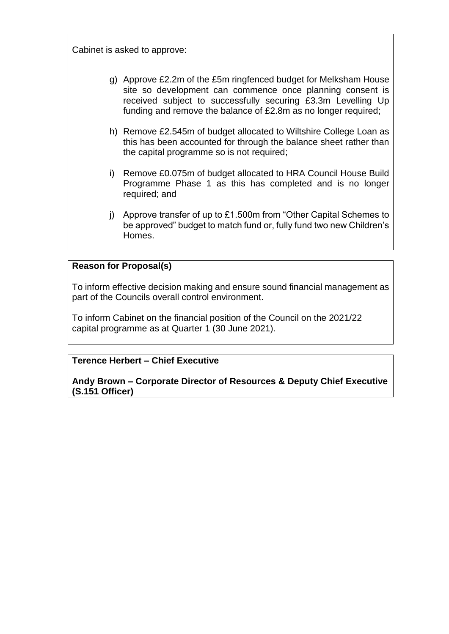Cabinet is asked to approve:

- g) Approve £2.2m of the £5m ringfenced budget for Melksham House site so development can commence once planning consent is received subject to successfully securing £3.3m Levelling Up funding and remove the balance of £2.8m as no longer required;
- h) Remove £2.545m of budget allocated to Wiltshire College Loan as this has been accounted for through the balance sheet rather than the capital programme so is not required;
- i) Remove £0.075m of budget allocated to HRA Council House Build Programme Phase 1 as this has completed and is no longer required; and
- j) Approve transfer of up to £1.500m from "Other Capital Schemes to be approved" budget to match fund or, fully fund two new Children's Homes.

# **Reason for Proposal(s)**

To inform effective decision making and ensure sound financial management as part of the Councils overall control environment.

To inform Cabinet on the financial position of the Council on the 2021/22 capital programme as at Quarter 1 (30 June 2021).

# **Terence Herbert – Chief Executive**

**Andy Brown – Corporate Director of Resources & Deputy Chief Executive (S.151 Officer)**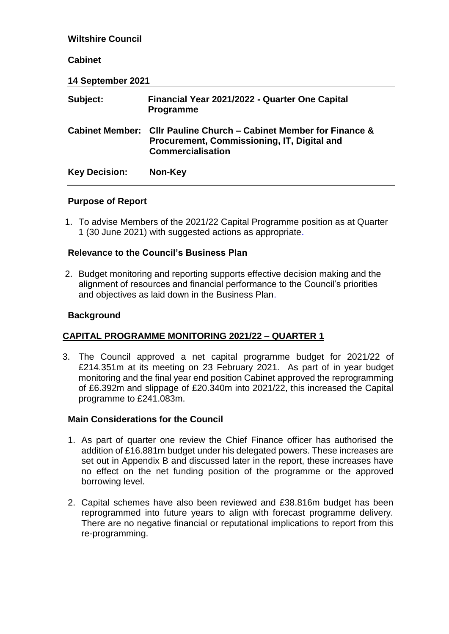| <b>Wiltshire Council</b> |                                                                                                                               |
|--------------------------|-------------------------------------------------------------------------------------------------------------------------------|
| <b>Cabinet</b>           |                                                                                                                               |
| 14 September 2021        |                                                                                                                               |
| Subject:                 | Financial Year 2021/2022 - Quarter One Capital<br><b>Programme</b>                                                            |
| <b>Cabinet Member:</b>   | CIIr Pauline Church – Cabinet Member for Finance &<br>Procurement, Commissioning, IT, Digital and<br><b>Commercialisation</b> |
| <b>Key Decision:</b>     | Non-Key                                                                                                                       |

# **Purpose of Report**

1. To advise Members of the 2021/22 Capital Programme position as at Quarter 1 (30 June 2021) with suggested actions as appropriate.

# **Relevance to the Council's Business Plan**

2. Budget monitoring and reporting supports effective decision making and the alignment of resources and financial performance to the Council's priorities and objectives as laid down in the Business Plan.

# **Background**

# **CAPITAL PROGRAMME MONITORING 2021/22 – QUARTER 1**

3. The Council approved a net capital programme budget for 2021/22 of £214.351m at its meeting on 23 February 2021. As part of in year budget monitoring and the final year end position Cabinet approved the reprogramming of £6.392m and slippage of £20.340m into 2021/22, this increased the Capital programme to £241.083m.

## **Main Considerations for the Council**

- 1. As part of quarter one review the Chief Finance officer has authorised the addition of £16.881m budget under his delegated powers. These increases are set out in Appendix B and discussed later in the report, these increases have no effect on the net funding position of the programme or the approved borrowing level.
- 2. Capital schemes have also been reviewed and £38.816m budget has been reprogrammed into future years to align with forecast programme delivery. There are no negative financial or reputational implications to report from this re-programming.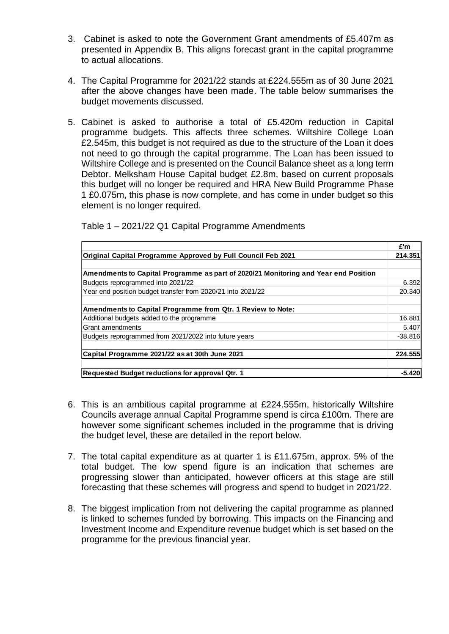- 3. Cabinet is asked to note the Government Grant amendments of £5.407m as presented in Appendix B. This aligns forecast grant in the capital programme to actual allocations.
- 4. The Capital Programme for 2021/22 stands at £224.555m as of 30 June 2021 after the above changes have been made. The table below summarises the budget movements discussed.
- 5. Cabinet is asked to authorise a total of £5.420m reduction in Capital programme budgets. This affects three schemes. Wiltshire College Loan £2.545m, this budget is not required as due to the structure of the Loan it does not need to go through the capital programme. The Loan has been issued to Wiltshire College and is presented on the Council Balance sheet as a long term Debtor. Melksham House Capital budget £2.8m, based on current proposals this budget will no longer be required and HRA New Build Programme Phase 1 £0.075m, this phase is now complete, and has come in under budget so this element is no longer required.

|                                                                                     | £'m       |
|-------------------------------------------------------------------------------------|-----------|
| Original Capital Programme Approved by Full Council Feb 2021                        | 214.351   |
| Amendments to Capital Programme as part of 2020/21 Monitoring and Year end Position |           |
| Budgets reprogrammed into 2021/22                                                   | 6.392     |
| Year end position budget transfer from 2020/21 into 2021/22                         | 20,340    |
| Amendments to Capital Programme from Qtr. 1 Review to Note:                         |           |
| Additional budgets added to the programme                                           | 16.881    |
| Grant amendments                                                                    | 5.407     |
| Budgets reprogrammed from 2021/2022 into future years                               | $-38.816$ |
| Capital Programme 2021/22 as at 30th June 2021                                      | 224.555   |
| Requested Budget reductions for approval Qtr. 1                                     | $-5.420$  |

Table 1 – 2021/22 Q1 Capital Programme Amendments

- 6. This is an ambitious capital programme at £224.555m, historically Wiltshire Councils average annual Capital Programme spend is circa £100m. There are however some significant schemes included in the programme that is driving the budget level, these are detailed in the report below.
- 7. The total capital expenditure as at quarter 1 is £11.675m, approx. 5% of the total budget. The low spend figure is an indication that schemes are progressing slower than anticipated, however officers at this stage are still forecasting that these schemes will progress and spend to budget in 2021/22.
- 8. The biggest implication from not delivering the capital programme as planned is linked to schemes funded by borrowing. This impacts on the Financing and Investment Income and Expenditure revenue budget which is set based on the programme for the previous financial year.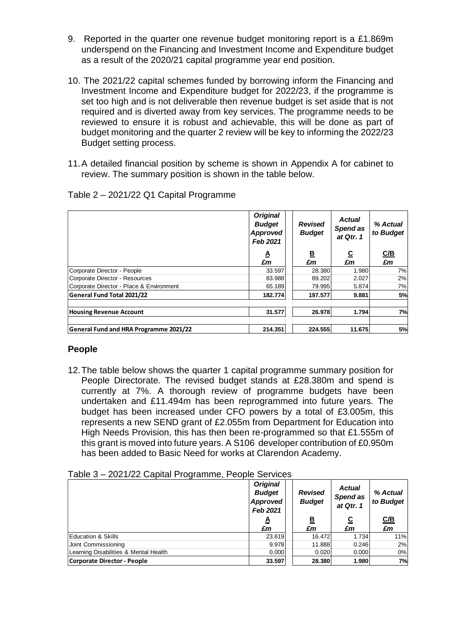- 9. Reported in the quarter one revenue budget monitoring report is a £1.869m underspend on the Financing and Investment Income and Expenditure budget as a result of the 2020/21 capital programme year end position.
- 10. The 2021/22 capital schemes funded by borrowing inform the Financing and Investment Income and Expenditure budget for 2022/23, if the programme is set too high and is not deliverable then revenue budget is set aside that is not required and is diverted away from key services. The programme needs to be reviewed to ensure it is robust and achievable, this will be done as part of budget monitoring and the quarter 2 review will be key to informing the 2022/23 Budget setting process.
- 11.A detailed financial position by scheme is shown in Appendix A for cabinet to review. The summary position is shown in the table below.

|                                               | <b>Original</b><br><b>Budget</b><br>Approved<br>Feb 2021 | <b>Revised</b><br><b>Budget</b> | <b>Actual</b><br>Spend as<br>at Qtr. 1 | % Actual<br>to Budget |  |
|-----------------------------------------------|----------------------------------------------------------|---------------------------------|----------------------------------------|-----------------------|--|
|                                               | ₹<br>£m                                                  | <u>B</u><br>£m                  | <u>ତ</u><br>£m                         | C/B<br>£m             |  |
| Corporate Director - People                   | 33.597                                                   | 28.380                          | 1.980                                  | 7%                    |  |
| Corporate Director - Resources                | 83.988                                                   | 89.202                          | 2.027                                  | 2%                    |  |
| Corporate Director - Place & Environment      | 65.189                                                   | 79.995                          | 5.874                                  | 7%                    |  |
| General Fund Total 2021/22                    | 182.774                                                  | 197.577                         | 9.881                                  | 5%                    |  |
| <b>Housing Revenue Account</b>                | 31.577                                                   | 26.978                          | 1.794                                  | 7%                    |  |
| <b>General Fund and HRA Programme 2021/22</b> | 214.351                                                  | 224.555                         | 11.675                                 | 5%                    |  |

Table 2 – 2021/22 Q1 Capital Programme

## **People**

12.The table below shows the quarter 1 capital programme summary position for People Directorate. The revised budget stands at £28.380m and spend is currently at 7%. A thorough review of programme budgets have been undertaken and £11.494m has been reprogrammed into future years. The budget has been increased under CFO powers by a total of £3.005m, this represents a new SEND grant of £2.055m from Department for Education into High Needs Provision, this has then been re-programmed so that £1.555m of this grant is moved into future years. A S106 developer contribution of £0.950m has been added to Basic Need for works at Clarendon Academy.

| ט שושטו<br>LUL 17LL UUDILUI 1 TUGTUMMU, TUUDIU UUTTIUUU |                                                          |                                 |                                        |                       |
|---------------------------------------------------------|----------------------------------------------------------|---------------------------------|----------------------------------------|-----------------------|
|                                                         | <b>Original</b><br><b>Budget</b><br>Approved<br>Feb 2021 | <b>Revised</b><br><b>Budget</b> | <b>Actual</b><br>Spend as<br>at Qtr. 1 | % Actual<br>to Budget |
|                                                         | A                                                        | <u>B</u>                        | <u>ତ</u>                               | C/B                   |
|                                                         | £m                                                       | £m                              | £m                                     | £m                    |
| <b>Education &amp; Skills</b>                           | 23.619                                                   | 16.472                          | 1.734                                  | 11%                   |
| Joint Commissioning                                     | 9.978                                                    | 11.888                          | 0.246                                  | 2%                    |
| Learning Disabilities & Mental Health                   | 0.000                                                    | 0.020                           | 0.000                                  | 0%                    |
| <b>Corporate Director - People</b>                      | 33.597                                                   | 28.380                          | 1.980                                  | 7%                    |
|                                                         |                                                          |                                 |                                        |                       |

Table 3 – 2021/22 Capital Programme, People Services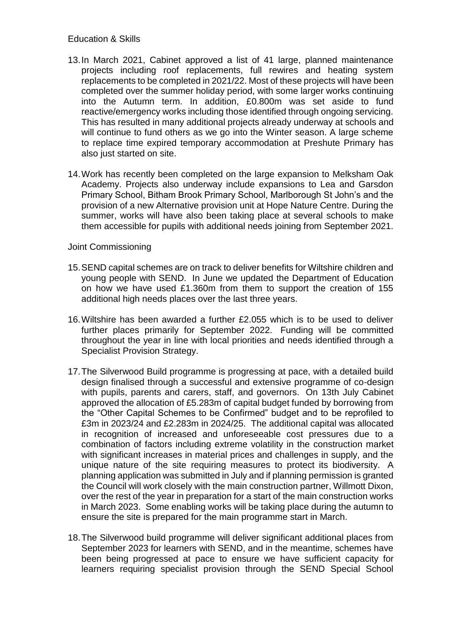## Education & Skills

- 13.In March 2021, Cabinet approved a list of 41 large, planned maintenance projects including roof replacements, full rewires and heating system replacements to be completed in 2021/22. Most of these projects will have been completed over the summer holiday period, with some larger works continuing into the Autumn term. In addition, £0.800m was set aside to fund reactive/emergency works including those identified through ongoing servicing. This has resulted in many additional projects already underway at schools and will continue to fund others as we go into the Winter season. A large scheme to replace time expired temporary accommodation at Preshute Primary has also just started on site.
- 14.Work has recently been completed on the large expansion to Melksham Oak Academy. Projects also underway include expansions to Lea and Garsdon Primary School, Bitham Brook Primary School, Marlborough St John's and the provision of a new Alternative provision unit at Hope Nature Centre. During the summer, works will have also been taking place at several schools to make them accessible for pupils with additional needs joining from September 2021.

## Joint Commissioning

- 15.SEND capital schemes are on track to deliver benefits for Wiltshire children and young people with SEND. In June we updated the Department of Education on how we have used £1.360m from them to support the creation of 155 additional high needs places over the last three years.
- 16.Wiltshire has been awarded a further £2.055 which is to be used to deliver further places primarily for September 2022. Funding will be committed throughout the year in line with local priorities and needs identified through a Specialist Provision Strategy.
- 17.The Silverwood Build programme is progressing at pace, with a detailed build design finalised through a successful and extensive programme of co-design with pupils, parents and carers, staff, and governors. On 13th July Cabinet approved the allocation of £5.283m of capital budget funded by borrowing from the "Other Capital Schemes to be Confirmed" budget and to be reprofiled to £3m in 2023/24 and £2.283m in 2024/25. The additional capital was allocated in recognition of increased and unforeseeable cost pressures due to a combination of factors including extreme volatility in the construction market with significant increases in material prices and challenges in supply, and the unique nature of the site requiring measures to protect its biodiversity. A planning application was submitted in July and if planning permission is granted the Council will work closely with the main construction partner, Willmott Dixon, over the rest of the year in preparation for a start of the main construction works in March 2023. Some enabling works will be taking place during the autumn to ensure the site is prepared for the main programme start in March.
- 18.The Silverwood build programme will deliver significant additional places from September 2023 for learners with SEND, and in the meantime, schemes have been being progressed at pace to ensure we have sufficient capacity for learners requiring specialist provision through the SEND Special School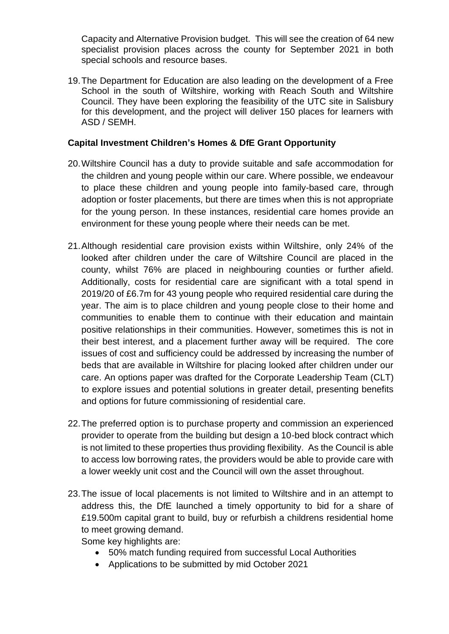Capacity and Alternative Provision budget. This will see the creation of 64 new specialist provision places across the county for September 2021 in both special schools and resource bases.

19.The Department for Education are also leading on the development of a Free School in the south of Wiltshire, working with Reach South and Wiltshire Council. They have been exploring the feasibility of the UTC site in Salisbury for this development, and the project will deliver 150 places for learners with ASD / SEMH.

# **Capital Investment Children's Homes & DfE Grant Opportunity**

- 20.Wiltshire Council has a duty to provide suitable and safe accommodation for the children and young people within our care. Where possible, we endeavour to place these children and young people into family-based care, through adoption or foster placements, but there are times when this is not appropriate for the young person. In these instances, residential care homes provide an environment for these young people where their needs can be met.
- 21.Although residential care provision exists within Wiltshire, only 24% of the looked after children under the care of Wiltshire Council are placed in the county, whilst 76% are placed in neighbouring counties or further afield. Additionally, costs for residential care are significant with a total spend in 2019/20 of £6.7m for 43 young people who required residential care during the year. The aim is to place children and young people close to their home and communities to enable them to continue with their education and maintain positive relationships in their communities. However, sometimes this is not in their best interest, and a placement further away will be required. The core issues of cost and sufficiency could be addressed by increasing the number of beds that are available in Wiltshire for placing looked after children under our care. An options paper was drafted for the Corporate Leadership Team (CLT) to explore issues and potential solutions in greater detail, presenting benefits and options for future commissioning of residential care.
- 22.The preferred option is to purchase property and commission an experienced provider to operate from the building but design a 10-bed block contract which is not limited to these properties thus providing flexibility. As the Council is able to access low borrowing rates, the providers would be able to provide care with a lower weekly unit cost and the Council will own the asset throughout.
- 23.The issue of local placements is not limited to Wiltshire and in an attempt to address this, the DfE launched a timely opportunity to bid for a share of £19.500m capital grant to build, buy or refurbish a childrens residential home to meet growing demand.

Some key highlights are:

- 50% match funding required from successful Local Authorities
- Applications to be submitted by mid October 2021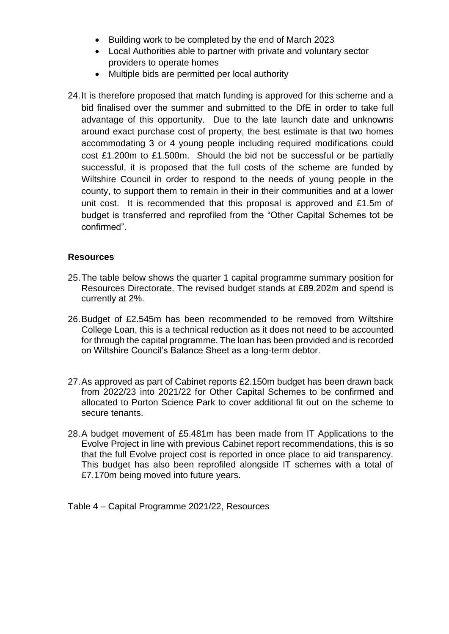- Building work to be completed by the end of March 2023
- Local Authorities able to partner with private and voluntary sector providers to operate homes
- Multiple bids are permitted per local authority
- 24.It is therefore proposed that match funding is approved for this scheme and a bid finalised over the summer and submitted to the DfE in order to take full advantage of this opportunity. Due to the late launch date and unknowns around exact purchase cost of property, the best estimate is that two homes accommodating 3 or 4 young people including required modifications could cost £1.200m to £1.500m. Should the bid not be successful or be partially successful, it is proposed that the full costs of the scheme are funded by Wiltshire Council in order to respond to the needs of young people in the county, to support them to remain in their in their communities and at a lower unit cost. It is recommended that this proposal is approved and £1.5m of budget is transferred and reprofiled from the "Other Capital Schemes tot be confirmed".

# **Resources**

- 25.The table below shows the quarter 1 capital programme summary position for Resources Directorate. The revised budget stands at £89.202m and spend is currently at 2%.
- 26.Budget of £2.545m has been recommended to be removed from Wiltshire College Loan, this is a technical reduction as it does not need to be accounted for through the capital programme. The loan has been provided and is recorded on Wiltshire Council's Balance Sheet as a long-term debtor.
- 27.As approved as part of Cabinet reports £2.150m budget has been drawn back from 2022/23 into 2021/22 for Other Capital Schemes to be confirmed and allocated to Porton Science Park to cover additional fit out on the scheme to secure tenants.
- 28.A budget movement of £5.481m has been made from IT Applications to the Evolve Project in line with previous Cabinet report recommendations, this is so that the full Evolve project cost is reported in once place to aid transparency. This budget has also been reprofiled alongside IT schemes with a total of £7.170m being moved into future years.

Table 4 – Capital Programme 2021/22, Resources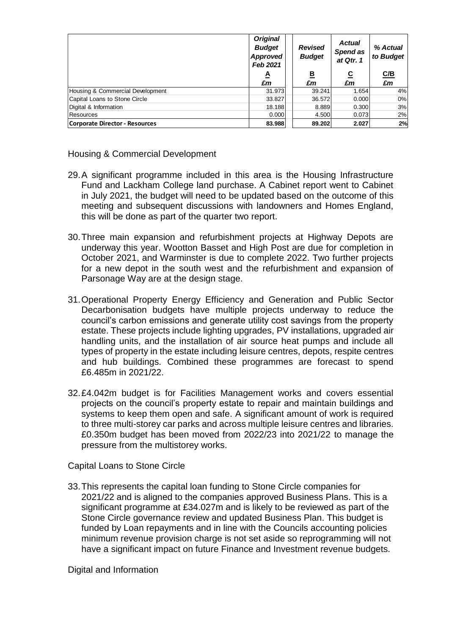|                                  | <b>Original</b><br><b>Budget</b><br>Approved<br>Feb 2021 | <b>Revised</b><br><b>Budget</b> | <b>Actual</b><br>Spend as<br>at Qtr. 1 | % Actual<br>to Budget |
|----------------------------------|----------------------------------------------------------|---------------------------------|----------------------------------------|-----------------------|
|                                  | ₹                                                        | <u>в</u>                        | <u>c</u>                               | C/B                   |
|                                  | £m                                                       | £m                              | £m                                     | £m                    |
| Housing & Commercial Development | 31.973                                                   | 39.241                          | 1.654                                  | 4%                    |
| Capital Loans to Stone Circle    | 33.827                                                   | 36.572                          | 0.000                                  | 0%                    |
| Digital & Information            | 18.188                                                   | 8.889                           | 0.300                                  | 3%                    |
| Resources                        | 0.000                                                    | 4.500                           | 0.073                                  | 2%                    |
| Corporate Director - Resources   | 83.988                                                   | 89.202                          | 2.027                                  | 2%                    |

Housing & Commercial Development

- 29.A significant programme included in this area is the Housing Infrastructure Fund and Lackham College land purchase. A Cabinet report went to Cabinet in July 2021, the budget will need to be updated based on the outcome of this meeting and subsequent discussions with landowners and Homes England, this will be done as part of the quarter two report.
- 30.Three main expansion and refurbishment projects at Highway Depots are underway this year. Wootton Basset and High Post are due for completion in October 2021, and Warminster is due to complete 2022. Two further projects for a new depot in the south west and the refurbishment and expansion of Parsonage Way are at the design stage.
- 31.Operational Property Energy Efficiency and Generation and Public Sector Decarbonisation budgets have multiple projects underway to reduce the council's carbon emissions and generate utility cost savings from the property estate. These projects include lighting upgrades, PV installations, upgraded air handling units, and the installation of air source heat pumps and include all types of property in the estate including leisure centres, depots, respite centres and hub buildings. Combined these programmes are forecast to spend £6.485m in 2021/22.
- 32.£4.042m budget is for Facilities Management works and covers essential projects on the council's property estate to repair and maintain buildings and systems to keep them open and safe. A significant amount of work is required to three multi-storey car parks and across multiple leisure centres and libraries. £0.350m budget has been moved from 2022/23 into 2021/22 to manage the pressure from the multistorey works.

Capital Loans to Stone Circle

33.This represents the capital loan funding to Stone Circle companies for 2021/22 and is aligned to the companies approved Business Plans. This is a significant programme at £34.027m and is likely to be reviewed as part of the Stone Circle governance review and updated Business Plan. This budget is funded by Loan repayments and in line with the Councils accounting policies minimum revenue provision charge is not set aside so reprogramming will not have a significant impact on future Finance and Investment revenue budgets.

Digital and Information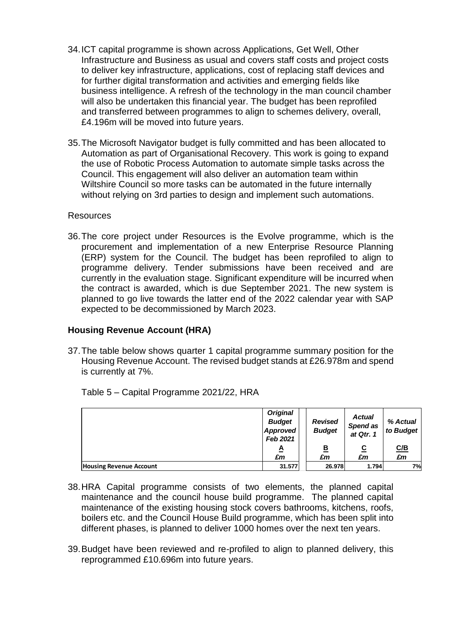- 34.ICT capital programme is shown across Applications, Get Well, Other Infrastructure and Business as usual and covers staff costs and project costs to deliver key infrastructure, applications, cost of replacing staff devices and for further digital transformation and activities and emerging fields like business intelligence. A refresh of the technology in the man council chamber will also be undertaken this financial year. The budget has been reprofiled and transferred between programmes to align to schemes delivery, overall, £4.196m will be moved into future years.
- 35.The Microsoft Navigator budget is fully committed and has been allocated to Automation as part of Organisational Recovery. This work is going to expand the use of Robotic Process Automation to automate simple tasks across the Council. This engagement will also deliver an automation team within Wiltshire Council so more tasks can be automated in the future internally without relying on 3rd parties to design and implement such automations.

#### Resources

36.The core project under Resources is the Evolve programme, which is the procurement and implementation of a new Enterprise Resource Planning (ERP) system for the Council. The budget has been reprofiled to align to programme delivery. Tender submissions have been received and are currently in the evaluation stage. Significant expenditure will be incurred when the contract is awarded, which is due September 2021. The new system is planned to go live towards the latter end of the 2022 calendar year with SAP expected to be decommissioned by March 2023.

## **Housing Revenue Account (HRA)**

37.The table below shows quarter 1 capital programme summary position for the Housing Revenue Account. The revised budget stands at £26.978m and spend is currently at 7%.

|                                | <b>Original</b><br><b>Budget</b><br>Approved<br>Feb 2021 | <b>Revised</b><br><b>Budget</b> | <b>Actual</b><br>Spend as<br>at Qtr. 1 | % Actual<br>to Budget |
|--------------------------------|----------------------------------------------------------|---------------------------------|----------------------------------------|-----------------------|
|                                | Δ                                                        | <u>B</u><br>£m                  | <u>c</u>                               | C/B                   |
|                                | £m                                                       |                                 | £m                                     | £m                    |
| <b>Housing Revenue Account</b> | 31.577                                                   | 26.978                          | 1.794                                  | 7%                    |

Table 5 – Capital Programme 2021/22, HRA

- 38.HRA Capital programme consists of two elements, the planned capital maintenance and the council house build programme. The planned capital maintenance of the existing housing stock covers bathrooms, kitchens, roofs, boilers etc. and the Council House Build programme, which has been split into different phases, is planned to deliver 1000 homes over the next ten years.
- 39.Budget have been reviewed and re-profiled to align to planned delivery, this reprogrammed £10.696m into future years.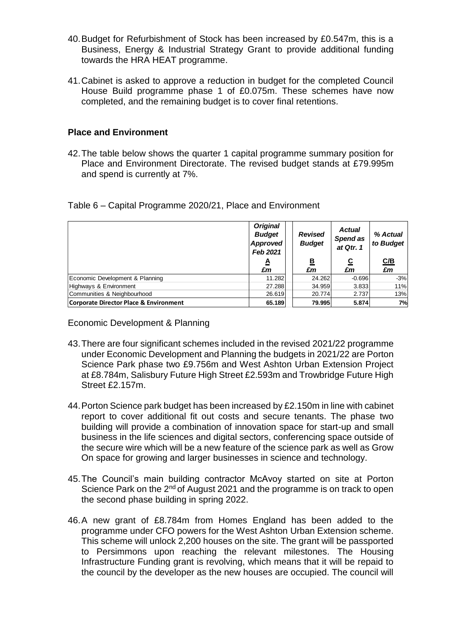- 40.Budget for Refurbishment of Stock has been increased by £0.547m, this is a Business, Energy & Industrial Strategy Grant to provide additional funding towards the HRA HEAT programme.
- 41.Cabinet is asked to approve a reduction in budget for the completed Council House Build programme phase 1 of £0.075m. These schemes have now completed, and the remaining budget is to cover final retentions.

#### **Place and Environment**

42.The table below shows the quarter 1 capital programme summary position for Place and Environment Directorate. The revised budget stands at £79.995m and spend is currently at 7%.

| Table 6 - Capital Programme 2020/21, Place and Environment |  |
|------------------------------------------------------------|--|
|------------------------------------------------------------|--|

|                                        | <b>Original</b><br><b>Budget</b><br>Approved<br>Feb 2021 | <b>Revised</b><br><b>Budget</b> | <b>Actual</b><br>Spend as<br>at Qtr. 1 | % Actual<br>to Budget |
|----------------------------------------|----------------------------------------------------------|---------------------------------|----------------------------------------|-----------------------|
|                                        | A                                                        | <u>B</u>                        | <u>c</u>                               | C/B                   |
|                                        | £m                                                       | £m                              | £m                                     | £m                    |
| Economic Development & Planning        | 11.282                                                   | 24.262                          | $-0.696$                               | $-3%$                 |
| Highways & Environment                 | 27.288                                                   | 34.959                          | 3.833                                  | 11%                   |
| Communities & Neighbourhood            | 26.619                                                   | 20.774                          | 2.737                                  | 13%                   |
| Corporate Director Place & Environment | 65.189                                                   | 79.995                          | 5.874                                  | 7%                    |

Economic Development & Planning

- 43.There are four significant schemes included in the revised 2021/22 programme under Economic Development and Planning the budgets in 2021/22 are Porton Science Park phase two £9.756m and West Ashton Urban Extension Project at £8.784m, Salisbury Future High Street £2.593m and Trowbridge Future High Street £2.157m.
- 44.Porton Science park budget has been increased by £2.150m in line with cabinet report to cover additional fit out costs and secure tenants. The phase two building will provide a combination of innovation space for start-up and small business in the life sciences and digital sectors, conferencing space outside of the secure wire which will be a new feature of the science park as well as Grow On space for growing and larger businesses in science and technology.
- 45.The Council's main building contractor McAvoy started on site at Porton Science Park on the  $2^{nd}$  of August 2021 and the programme is on track to open the second phase building in spring 2022.
- 46.A new grant of £8.784m from Homes England has been added to the programme under CFO powers for the West Ashton Urban Extension scheme. This scheme will unlock 2,200 houses on the site. The grant will be passported to Persimmons upon reaching the relevant milestones. The Housing Infrastructure Funding grant is revolving, which means that it will be repaid to the council by the developer as the new houses are occupied. The council will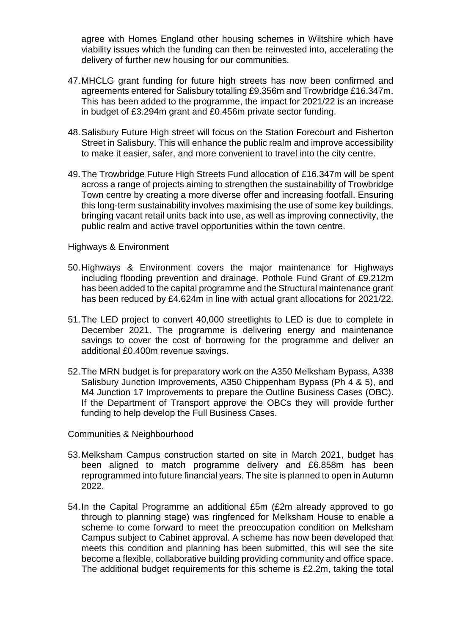agree with Homes England other housing schemes in Wiltshire which have viability issues which the funding can then be reinvested into, accelerating the delivery of further new housing for our communities.

- 47.MHCLG grant funding for future high streets has now been confirmed and agreements entered for Salisbury totalling £9.356m and Trowbridge £16.347m. This has been added to the programme, the impact for 2021/22 is an increase in budget of £3.294m grant and £0.456m private sector funding.
- 48.Salisbury Future High street will focus on the Station Forecourt and Fisherton Street in Salisbury. This will enhance the public realm and improve accessibility to make it easier, safer, and more convenient to travel into the city centre.
- 49.The Trowbridge Future High Streets Fund allocation of £16.347m will be spent across a range of projects aiming to strengthen the sustainability of Trowbridge Town centre by creating a more diverse offer and increasing footfall. Ensuring this long-term sustainability involves maximising the use of some key buildings, bringing vacant retail units back into use, as well as improving connectivity, the public realm and active travel opportunities within the town centre.

#### Highways & Environment

- 50.Highways & Environment covers the major maintenance for Highways including flooding prevention and drainage. Pothole Fund Grant of £9.212m has been added to the capital programme and the Structural maintenance grant has been reduced by £4.624m in line with actual grant allocations for 2021/22.
- 51.The LED project to convert 40,000 streetlights to LED is due to complete in December 2021. The programme is delivering energy and maintenance savings to cover the cost of borrowing for the programme and deliver an additional £0.400m revenue savings.
- 52.The MRN budget is for preparatory work on the A350 Melksham Bypass, A338 Salisbury Junction Improvements, A350 Chippenham Bypass (Ph 4 & 5), and M4 Junction 17 Improvements to prepare the Outline Business Cases (OBC). If the Department of Transport approve the OBCs they will provide further funding to help develop the Full Business Cases.

Communities & Neighbourhood

- 53.Melksham Campus construction started on site in March 2021, budget has been aligned to match programme delivery and £6.858m has been reprogrammed into future financial years. The site is planned to open in Autumn 2022.
- 54.In the Capital Programme an additional £5m (£2m already approved to go through to planning stage) was ringfenced for Melksham House to enable a scheme to come forward to meet the preoccupation condition on Melksham Campus subject to Cabinet approval. A scheme has now been developed that meets this condition and planning has been submitted, this will see the site become a flexible, collaborative building providing community and office space. The additional budget requirements for this scheme is £2.2m, taking the total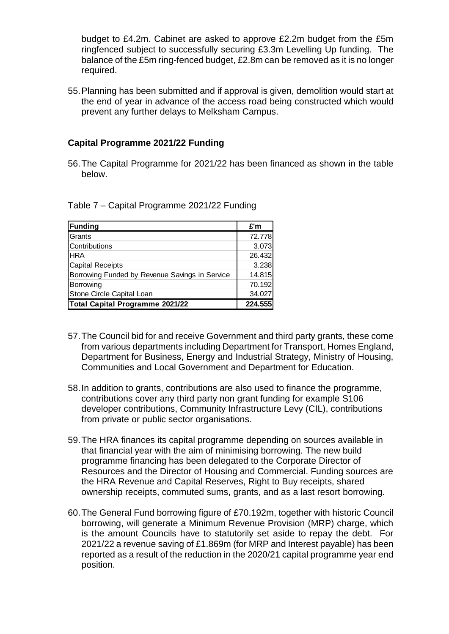budget to £4.2m. Cabinet are asked to approve £2.2m budget from the £5m ringfenced subject to successfully securing £3.3m Levelling Up funding. The balance of the £5m ring-fenced budget, £2.8m can be removed as it is no longer required.

55.Planning has been submitted and if approval is given, demolition would start at the end of year in advance of the access road being constructed which would prevent any further delays to Melksham Campus.

### **Capital Programme 2021/22 Funding**

56.The Capital Programme for 2021/22 has been financed as shown in the table below.

Table 7 – Capital Programme 2021/22 Funding

| <b>Funding</b>                                 | £'m     |
|------------------------------------------------|---------|
| Grants                                         | 72.778  |
| Contributions                                  | 3.073   |
| <b>HRA</b>                                     | 26.432  |
| <b>Capital Receipts</b>                        | 3.238   |
| Borrowing Funded by Revenue Savings in Service | 14.815  |
| Borrowing                                      | 70.192  |
| Stone Circle Capital Loan                      | 34.027  |
| Total Capital Programme 2021/22                | 224.555 |

- 57.The Council bid for and receive Government and third party grants, these come from various departments including Department for Transport, Homes England, Department for Business, Energy and Industrial Strategy, Ministry of Housing, Communities and Local Government and Department for Education.
- 58.In addition to grants, contributions are also used to finance the programme, contributions cover any third party non grant funding for example S106 developer contributions, Community Infrastructure Levy (CIL), contributions from private or public sector organisations.
- 59.The HRA finances its capital programme depending on sources available in that financial year with the aim of minimising borrowing. The new build programme financing has been delegated to the Corporate Director of Resources and the Director of Housing and Commercial. Funding sources are the HRA Revenue and Capital Reserves, Right to Buy receipts, shared ownership receipts, commuted sums, grants, and as a last resort borrowing.
- 60.The General Fund borrowing figure of £70.192m, together with historic Council borrowing, will generate a Minimum Revenue Provision (MRP) charge, which is the amount Councils have to statutorily set aside to repay the debt. For 2021/22 a revenue saving of £1.869m (for MRP and Interest payable) has been reported as a result of the reduction in the 2020/21 capital programme year end position.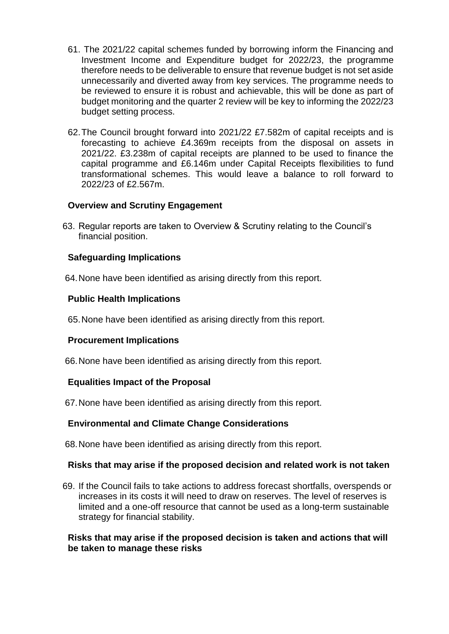- 61. The 2021/22 capital schemes funded by borrowing inform the Financing and Investment Income and Expenditure budget for 2022/23, the programme therefore needs to be deliverable to ensure that revenue budget is not set aside unnecessarily and diverted away from key services. The programme needs to be reviewed to ensure it is robust and achievable, this will be done as part of budget monitoring and the quarter 2 review will be key to informing the 2022/23 budget setting process.
- 62.The Council brought forward into 2021/22 £7.582m of capital receipts and is forecasting to achieve £4.369m receipts from the disposal on assets in 2021/22. £3.238m of capital receipts are planned to be used to finance the capital programme and £6.146m under Capital Receipts flexibilities to fund transformational schemes. This would leave a balance to roll forward to 2022/23 of £2.567m.

## **Overview and Scrutiny Engagement**

63. Regular reports are taken to Overview & Scrutiny relating to the Council's financial position.

# **Safeguarding Implications**

64.None have been identified as arising directly from this report.

# **Public Health Implications**

65.None have been identified as arising directly from this report.

## **Procurement Implications**

66.None have been identified as arising directly from this report.

# **Equalities Impact of the Proposal**

67.None have been identified as arising directly from this report.

## **Environmental and Climate Change Considerations**

68.None have been identified as arising directly from this report.

## **Risks that may arise if the proposed decision and related work is not taken**

69. If the Council fails to take actions to address forecast shortfalls, overspends or increases in its costs it will need to draw on reserves. The level of reserves is limited and a one-off resource that cannot be used as a long-term sustainable strategy for financial stability.

## **Risks that may arise if the proposed decision is taken and actions that will be taken to manage these risks**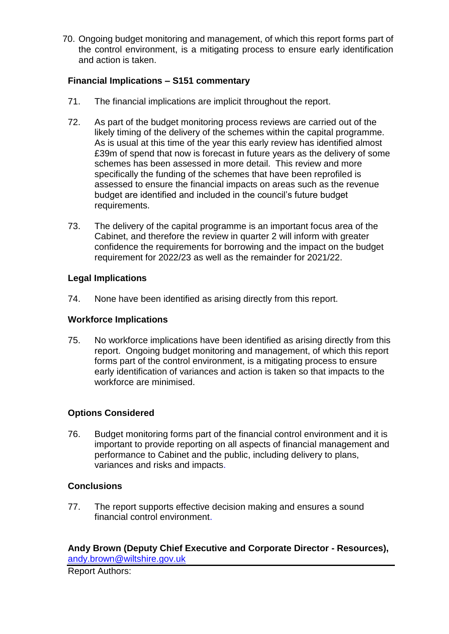70. Ongoing budget monitoring and management, of which this report forms part of the control environment, is a mitigating process to ensure early identification and action is taken.

# **Financial Implications – S151 commentary**

- 71. The financial implications are implicit throughout the report.
- 72. As part of the budget monitoring process reviews are carried out of the likely timing of the delivery of the schemes within the capital programme. As is usual at this time of the year this early review has identified almost £39m of spend that now is forecast in future years as the delivery of some schemes has been assessed in more detail. This review and more specifically the funding of the schemes that have been reprofiled is assessed to ensure the financial impacts on areas such as the revenue budget are identified and included in the council's future budget requirements.
- 73. The delivery of the capital programme is an important focus area of the Cabinet, and therefore the review in quarter 2 will inform with greater confidence the requirements for borrowing and the impact on the budget requirement for 2022/23 as well as the remainder for 2021/22.

## **Legal Implications**

74. None have been identified as arising directly from this report.

# **Workforce Implications**

75. No workforce implications have been identified as arising directly from this report. Ongoing budget monitoring and management, of which this report forms part of the control environment, is a mitigating process to ensure early identification of variances and action is taken so that impacts to the workforce are minimised.

# **Options Considered**

76. Budget monitoring forms part of the financial control environment and it is important to provide reporting on all aspects of financial management and performance to Cabinet and the public, including delivery to plans, variances and risks and impacts.

# **Conclusions**

77. The report supports effective decision making and ensures a sound financial control environment.